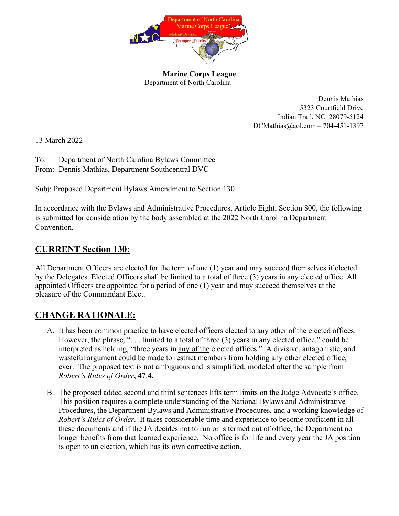

**Marine Corps League** Department of North Carolina

> Dennis Mathias 5323 Courtfield Drive Indian Trail, NC 28079-5124 DCMathias@aol.com – 704-451-1397

13 March 2022

To: Department of North Carolina Bylaws Committee From: Dennis Mathias, Department Southcentral DVC

Subj: Proposed Department Bylaws Amendment to Section 130

In accordance with the Bylaws and Administrative Procedures, Article Eight, Section 800, the following is submitted for consideration by the body assembled at the 2022 North Carolina Department Convention.

## **CURRENT Section 130:**

All Department Officers are elected for the term of one (1) year and may succeed themselves if elected by the Delegates. Elected Officers shall be limited to a total of three (3) years in any elected office. All appointed Officers are appointed for a period of one (1) year and may succeed themselves at the pleasure of the Commandant Elect.

## **CHANGE RATIONALE:**

- A. It has been common practice to have elected officers elected to any other of the elected offices. However, the phrase, "... limited to a total of three (3) years in any elected office." could be interpreted as holding, "three years in any of the elected offices." A divisive, antagonistic, and wasteful argument could be made to restrict members from holding any other elected office, ever. The proposed text is not ambiguous and is simplified, modeled after the sample from *Robert's Rules of Order*, 47:4.
- B. The proposed added second and third sentences lifts term limits on the Judge Advocate's office. This position requires a complete understanding of the National Bylaws and Administrative Procedures, the Department Bylaws and Administrative Procedures, and a working knowledge of *Robert's Rules of Order*. It takes considerable time and experience to become proficient in all these documents and if the JA decides not to run or is termed out of office, the Department no longer benefits from that learned experience. No office is for life and every year the JA position is open to an election, which has its own corrective action.